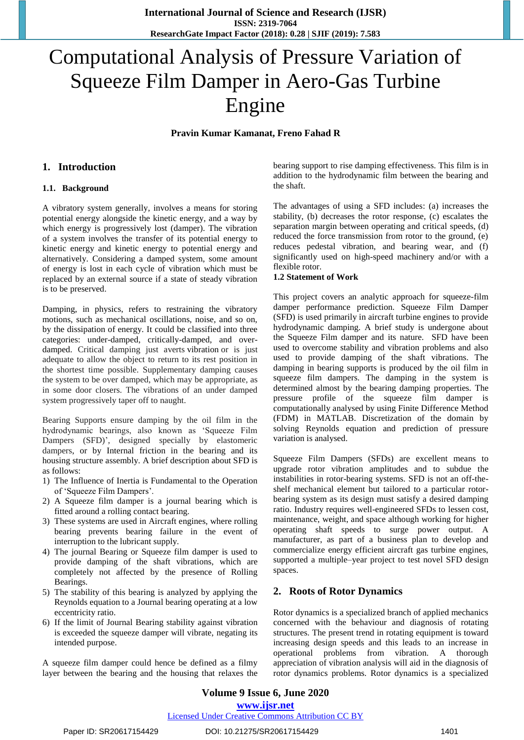# Computational Analysis of Pressure Variation of Squeeze Film Damper in Aero-Gas Turbine Engine

**Pravin Kumar Kamanat, Freno Fahad R**

## **1. Introduction**

## **1.1. Background**

A vibratory system generally, involves a means for storing potential energy alongside the kinetic energy, and a way by which energy is progressively lost (damper). The vibration of a system involves the transfer of its potential energy to kinetic energy and kinetic energy to potential energy and alternatively. Considering a damped system, some amount of energy is lost in each cycle of vibration which must be replaced by an external source if a state of steady vibration is to be preserved.

Damping, in physics, refers to restraining the vibratory motions, such as mechanical oscillations, noise, and so on, by the dissipation of energy. It could be classified into three categories: under-damped, critically-damped, and overdamped. Critical damping just averts vibration or is just adequate to allow the object to return to its rest position in the shortest time possible. Supplementary damping causes the system to be over damped, which may be appropriate, as in some door closers. The vibrations of an under damped system progressively taper off to naught.

Bearing Supports ensure damping by the oil film in the hydrodynamic bearings, also known as "Squeeze Film Dampers (SFD)', designed specially by elastomeric dampers, or by Internal friction in the bearing and its housing structure assembly. A brief description about SFD is as follows:

- 1) The Influence of Inertia is Fundamental to the Operation of 'Squeeze Film Dampers'.
- 2) A Squeeze film damper is a journal bearing which is fitted around a rolling contact bearing.
- 3) These systems are used in Aircraft engines, where rolling bearing prevents bearing failure in the event of interruption to the lubricant supply.
- 4) The journal Bearing or Squeeze film damper is used to provide damping of the shaft vibrations, which are completely not affected by the presence of Rolling Bearings.
- 5) The stability of this bearing is analyzed by applying the Reynolds equation to a Journal bearing operating at a low eccentricity ratio.
- 6) If the limit of Journal Bearing stability against vibration is exceeded the squeeze damper will vibrate, negating its intended purpose.

A squeeze film damper could hence be defined as a filmy layer between the bearing and the housing that relaxes the bearing support to rise damping effectiveness. This film is in addition to the hydrodynamic film between the bearing and the shaft.

The advantages of using a SFD includes: (a) increases the stability, (b) decreases the rotor response, (c) escalates the separation margin between operating and critical speeds, (d) reduced the force transmission from rotor to the ground, (e) reduces pedestal vibration, and bearing wear, and (f) significantly used on high-speed machinery and/or with a flexible rotor.

## **1.2 Statement of Work**

This project covers an analytic approach for squeeze-film damper performance prediction. Squeeze Film Damper (SFD) is used primarily in aircraft turbine engines to provide hydrodynamic damping. A brief study is undergone about the Squeeze Film damper and its nature. SFD have been used to overcome stability and vibration problems and also used to provide damping of the shaft vibrations. The damping in bearing supports is produced by the oil film in squeeze film dampers. The damping in the system is determined almost by the bearing damping properties. The pressure profile of the squeeze film damper is computationally analysed by using Finite Difference Method (FDM) in MATLAB. Discretization of the domain by solving Reynolds equation and prediction of pressure variation is analysed.

Squeeze Film Dampers (SFDs) are excellent means to upgrade rotor vibration amplitudes and to subdue the instabilities in rotor-bearing systems. SFD is not an off-theshelf mechanical element but tailored to a particular rotorbearing system as its design must satisfy a desired damping ratio. Industry requires well-engineered SFDs to lessen cost, maintenance, weight, and space although working for higher operating shaft speeds to surge power output. A manufacturer, as part of a business plan to develop and commercialize energy efficient aircraft gas turbine engines, supported a multiple–year project to test novel SFD design spaces.

# **2. Roots of Rotor Dynamics**

Rotor dynamics is a specialized branch of applied mechanics concerned with the behaviour and diagnosis of rotating structures. The present trend in rotating equipment is toward increasing design speeds and this leads to an increase in operational problems from vibration. A thorough appreciation of vibration analysis will aid in the diagnosis of rotor dynamics problems. Rotor dynamics is a specialized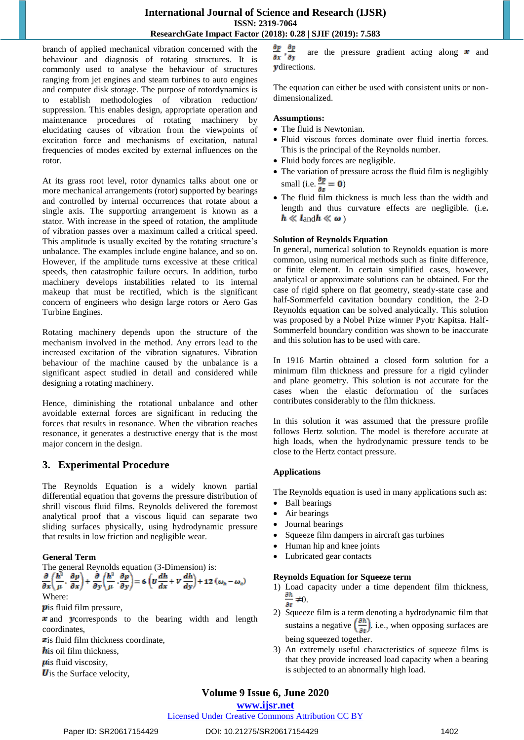## **International Journal of Science and Research (IJSR) ISSN: 2319-7064 ResearchGate Impact Factor (2018): 0.28 | SJIF (2019): 7.583**

branch of applied mechanical vibration concerned with the behaviour and diagnosis of rotating structures. It is commonly used to analyse the behaviour of structures ranging from jet engines and steam turbines to auto engines and computer disk storage. The purpose of rotordynamics is to establish methodologies of vibration reduction/ suppression. This enables design, appropriate operation and maintenance procedures of rotating machinery by elucidating causes of vibration from the viewpoints of excitation force and mechanisms of excitation, natural frequencies of modes excited by external influences on the rotor.

At its grass root level, rotor dynamics talks about one or more mechanical arrangements (rotor) supported by bearings and controlled by internal occurrences that rotate about a single axis. The supporting arrangement is known as a stator. With increase in the speed of rotation, the amplitude of vibration passes over a maximum called a critical speed. This amplitude is usually excited by the rotating structure's unbalance. The examples include engine balance, and so on. However, if the amplitude turns excessive at these critical speeds, then catastrophic failure occurs. In addition, turbo machinery develops instabilities related to its internal makeup that must be rectified, which is the significant concern of engineers who design large rotors or Aero Gas Turbine Engines.

Rotating machinery depends upon the structure of the mechanism involved in the method. Any errors lead to the increased excitation of the vibration signatures. Vibration behaviour of the machine caused by the unbalance is a significant aspect studied in detail and considered while designing a rotating machinery.

Hence, diminishing the rotational unbalance and other avoidable external forces are significant in reducing the forces that results in resonance. When the vibration reaches resonance, it generates a destructive energy that is the most major concern in the design.

# **3. Experimental Procedure**

The Reynolds Equation is a widely known partial differential equation that governs the pressure distribution of shrill viscous fluid films. Reynolds delivered the foremost analytical proof that a viscous liquid can separate two sliding surfaces physically, using hydrodynamic pressure that results in low friction and negligible wear.

## **General Term**

The general Reynolds equation (3-Dimension) is:

$$
\frac{\partial}{\partial x}\left(\frac{h^2}{\mu}\cdot\frac{\partial p}{\partial x}\right) + \frac{\partial}{\partial y}\left(\frac{h^2}{\mu}\cdot\frac{\partial p}{\partial y}\right) = 6\left(U\frac{dh}{dx} + V\frac{dh}{dy}\right) + 12\left(\omega_h - \omega_e\right)
$$
  
Where:

*p*is fluid film pressure,

 $\boldsymbol{\cdot}$  and  $\boldsymbol{\cdot}$  vectors corresponds to the bearing width and length coordinates,

zis fluid film thickness coordinate,

 $\mathbf{h}$  is oil film thickness.

 $\mu$ is fluid viscosity,

 **is the Surface velocity,** 

 $\frac{\partial p}{\partial x}$ ,  $\frac{\partial p}{\partial y}$  are the pressure gradient acting along x and ydirections.

The equation can either be used with consistent units or nondimensionalized.

## **Assumptions:**

- The fluid is Newtonian.
- Fluid viscous forces dominate over fluid inertia forces. This is the principal of the Reynolds number.
- Fluid body forces are negligible.
- The variation of pressure across the fluid film is negligibly small (i.e.  $\frac{\partial p}{\partial z} = 0$ )
- The fluid film thickness is much less than the width and length and thus curvature effects are negligible. (i.e**.**   $h \ll l$  and  $h \ll \omega$ )

## **Solution of Reynolds Equation**

In general, numerical solution to Reynolds equation is more common, using numerical methods such as finite difference, or finite element. In certain simplified cases, however, analytical or approximate solutions can be obtained. For the case of rigid sphere on flat geometry, steady-state case and half-Sommerfeld cavitation boundary condition, the 2-D Reynolds equation can be solved analytically. This solution was proposed by a Nobel Prize winner Pyotr Kapitsa. Half-Sommerfeld boundary condition was shown to be inaccurate and this solution has to be used with care.

In 1916 Martin obtained a closed form solution for a minimum film thickness and pressure for a rigid cylinder and plane geometry. This solution is not accurate for the cases when the elastic deformation of the surfaces contributes considerably to the film thickness.

In this solution it was assumed that the pressure profile follows Hertz solution. The model is therefore accurate at high loads, when the hydrodynamic pressure tends to be close to the Hertz contact pressure.

## **Applications**

The Reynolds equation is used in many applications such as:

- Ball bearings
- Air bearings
- Journal bearings
- Squeeze film dampers in aircraft gas turbines
- Human hip and knee joints
- Lubricated gear contacts

## **Reynolds Equation for Squeeze term**

- 1) Load capacity under a time dependent film thickness,  $\frac{\partial h}{\partial x} \neq 0$ .  $\overline{\partial t}$
- 2) Squeeze film is a term denoting a hydrodynamic film that sustains a negative  $\left(\frac{m}{n}\right)$ . i.e., when opposing surfaces are being squeezed together.
- 3) An extremely useful characteristics of squeeze films is that they provide increased load capacity when a bearing is subjected to an abnormally high load.

# **Volume 9 Issue 6, June 2020**

## **www.ijsr.net**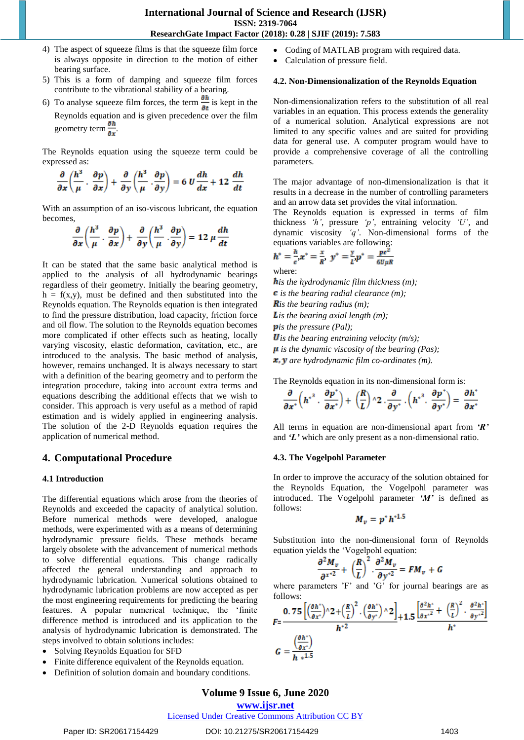- 4) The aspect of squeeze films is that the squeeze film force is always opposite in direction to the motion of either bearing surface.
- 5) This is a form of damping and squeeze film forces contribute to the vibrational stability of a bearing.
- 6) To analyse squeeze film forces, the term  $\frac{1}{\sqrt{2}}$  is kept in the Reynolds equation and is given precedence over the film geometry term  $\frac{\partial h}{\partial x}$ .

The Reynolds equation using the squeeze term could be expressed as:

$$
\frac{\partial}{\partial x}\left(\frac{h^3}{\mu}\cdot\frac{\partial p}{\partial x}\right)+\frac{\partial}{\partial y}\left(\frac{h^3}{\mu}\cdot\frac{\partial p}{\partial y}\right)=6 U\frac{dh}{dx}+12\frac{dh}{dt}
$$

With an assumption of an iso-viscous lubricant, the equation becomes,

$$
\frac{\partial}{\partial x}\left(\frac{h^3}{\mu}\cdot\frac{\partial p}{\partial x}\right)+\frac{\partial}{\partial y}\left(\frac{h^3}{\mu}\cdot\frac{\partial p}{\partial y}\right)=12\,\mu\,\frac{dh}{dt}
$$

It can be stated that the same basic analytical method is applied to the analysis of all hydrodynamic bearings regardless of their geometry. Initially the bearing geometry,  $h = f(x,y)$ , must be defined and then substituted into the Reynolds equation. The Reynolds equation is then integrated to find the pressure distribution, load capacity, friction force and oil flow. The solution to the Reynolds equation becomes more complicated if other effects such as heating, locally varying viscosity, elastic deformation, cavitation, etc., are introduced to the analysis. The basic method of analysis, however, remains unchanged. It is always necessary to start with a definition of the bearing geometry and to perform the integration procedure, taking into account extra terms and equations describing the additional effects that we wish to consider. This approach is very useful as a method of rapid estimation and is widely applied in engineering analysis. The solution of the 2-D Reynolds equation requires the application of numerical method.

## **4. Computational Procedure**

#### **4.1 Introduction**

The differential equations which arose from the theories of Reynolds and exceeded the capacity of analytical solution. Before numerical methods were developed, analogue methods, were experimented with as a means of determining hydrodynamic pressure fields. These methods became largely obsolete with the advancement of numerical methods to solve differential equations. This change radically affected the general understanding and approach to hydrodynamic lubrication. Numerical solutions obtained to hydrodynamic lubrication problems are now accepted as per the most engineering requirements for predicting the bearing features. A popular numerical technique, the "finite difference method is introduced and its application to the analysis of hydrodynamic lubrication is demonstrated. The steps involved to obtain solutions includes:

- Solving Reynolds Equation for SFD
- Finite difference equivalent of the Reynolds equation.
- Definition of solution domain and boundary conditions.
- Coding of MATLAB program with required data.
- Calculation of pressure field.

#### **4.2. Non-Dimensionalization of the Reynolds Equation**

Non-dimensionalization refers to the substitution of all real variables in an equation. This process extends the generality of a numerical solution. Analytical expressions are not limited to any specific values and are suited for providing data for general use. A computer program would have to provide a comprehensive coverage of all the controlling parameters.

The major advantage of non-dimensionalization is that it results in a decrease in the number of controlling parameters and an arrow data set provides the vital information.

The Reynolds equation is expressed in terms of film thickness *'h'*, pressure *'p'*, entraining velocity *'U',* and dynamic viscosity *'q'*. Non-dimensional forms of the equations variables are following:

$$
h^* = \frac{h}{c}x^* = \frac{x}{R}, y^* = \frac{y}{L}p^* = \frac{pc^2}{6U\mu R}
$$

where:

*is the hydrodynamic film thickness (m);*

*is the bearing radial clearance (m);*

*is the bearing radius (m);*

*Lis the bearing axial length (m);* 

*pis the pressure (Pal);* 

*U is the bearing entraining velocity (m/s);* 

*is the dynamic viscosity of the bearing (Pas);*

*x*, *y* are hydrodynamic film co-ordinates (m).

The Reynolds equation in its non-dimensional form is:

$$
\frac{\partial}{\partial x^*}\left(h^{*^3}\cdot\frac{\partial p^*}{\partial x^*}\right)+\left(\frac{R}{L}\right)\wedge 2\cdot\frac{\partial}{\partial y^*}\cdot\left(h^{*^3}\cdot\frac{\partial p^*}{\partial y^*}\right)=\frac{\partial h^*}{\partial x^*}
$$

All terms in equation are non-dimensional apart from *'R'* and *'L'* which are only present as a non-dimensional ratio.

#### **4.3. The Vogelpohl Parameter**

In order to improve the accuracy of the solution obtained for the Reynolds Equation, the Vogelpohl parameter was introduced. The Vogelpohl parameter *'M'* is defined as follows:

$$
M_v = p^* h^{*1.5}
$$

Substitution into the non-dimensional form of Reynolds equation yields the "Vogelpohl equation:

$$
\frac{\partial^2 M_v}{\partial^{x^{*2}}} + \left(\frac{R}{L}\right)^2 \cdot \frac{\partial^2 M_v}{\partial y^{*2}} = FM_v + G
$$

where parameters 'F' and 'G' for journal bearings are as follows:

$$
F = \frac{0.75\left[\left(\frac{\partial h^*}{\partial x^*}\right) \wedge 2 + \left(\frac{R}{L}\right)^2 \cdot \left(\frac{\partial h^*}{\partial y^*}\right) \wedge 2\right]}{h^{*2}} + 1.5\frac{\left[\frac{\partial^2 h^*}{\partial x^*} + \left(\frac{R}{L}\right)^2 \cdot \frac{\partial^2 h^*}{\partial y^*^2}\right]}{h^*}
$$

$$
G = \frac{\left(\frac{\partial h^*}{\partial x^*}\right)}{h^{*2}}
$$

$$
G = \frac{h^{*1.5}}{h^{*1.5}}
$$

# **Volume 9 Issue 6, June 2020**

**www.ijsr.net**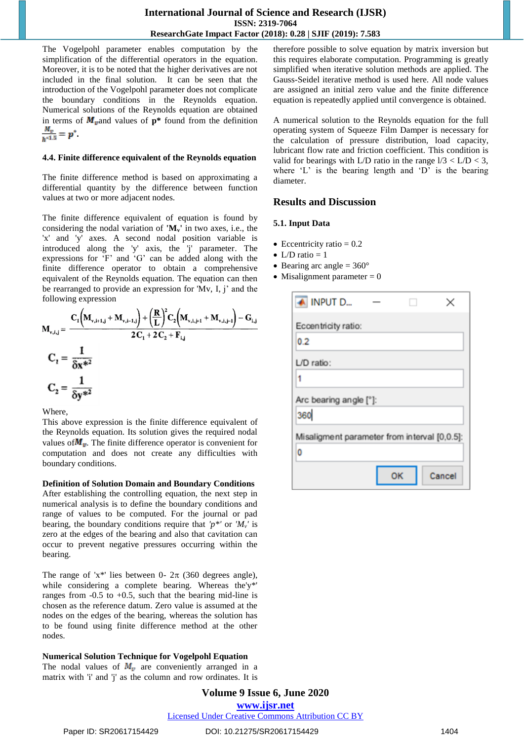The Vogelpohl parameter enables computation by the simplification of the differential operators in the equation. Moreover, it is to be noted that the higher derivatives are not included in the final solution. It can be seen that the introduction of the Vogelpohl parameter does not complicate the boundary conditions in the Reynolds equation. Numerical solutions of the Reynolds equation are obtained in terms of  $M_{\nu}$  and values of  $p^*$  found from the definition  $\frac{M_v}{h^{*1.5}} = p^*$ .

#### **4.4. Finite difference equivalent of the Reynolds equation**

The finite difference method is based on approximating a differential quantity by the difference between function values at two or more adjacent nodes.

The finite difference equivalent of equation is found by considering the nodal variation of **'Mv'** in two axes, i.e., the 'x' and 'y' axes. A second nodal position variable is introduced along the 'y' axis, the 'j' parameter. The expressions for 'F' and 'G' can be added along with the finite difference operator to obtain a comprehensive equivalent of the Reynolds equation. The equation can then be rearranged to provide an expression for 'Mv, I, j' and the following expression

$$
M_{v,i,j} = \frac{C_i \left(M_{v,i+1,j} + M_{v,i-1,j}\right) + \left(\frac{R}{L}\right)^2 C_2 \left(M_{v,i,j+1} + M_{v,i,j-1}\right) - G_{i,j}}{2 C_1 + 2 C_2 + F_{i,j}}
$$
  

$$
C_2 = \frac{1}{\delta x^{*2}}
$$
  

$$
C_2 = \frac{1}{\delta y^{*2}}
$$

Where,

This above expression is the finite difference equivalent of the Reynolds equation. Its solution gives the required nodal values of  $M_{\nu}$ . The finite difference operator is convenient for computation and does not create any difficulties with boundary conditions.

## **Definition of Solution Domain and Boundary Conditions**

After establishing the controlling equation, the next step in numerical analysis is to define the boundary conditions and range of values to be computed. For the journal or pad bearing, the boundary conditions require that  $'p^*$  or  $'M_v$  is zero at the edges of the bearing and also that cavitation can occur to prevent negative pressures occurring within the bearing.

The range of 'x\*' lies between 0-  $2\pi$  (360 degrees angle), while considering a complete bearing. Whereas the'y\*' ranges from  $-0.5$  to  $+0.5$ , such that the bearing mid-line is chosen as the reference datum. Zero value is assumed at the nodes on the edges of the bearing, whereas the solution has to be found using finite difference method at the other nodes.

## **Numerical Solution Technique for Vogelpohl Equation**

The nodal values of  $M_{\nu}$  are conveniently arranged in a matrix with 'i' and 'j' as the column and row ordinates. It is therefore possible to solve equation by matrix inversion but this requires elaborate computation. Programming is greatly simplified when iterative solution methods are applied. The Gauss-Seidel iterative method is used here. All node values are assigned an initial zero value and the finite difference equation is repeatedly applied until convergence is obtained.

A numerical solution to the Reynolds equation for the full operating system of Squeeze Film Damper is necessary for the calculation of pressure distribution, load capacity, lubricant flow rate and friction coefficient. This condition is valid for bearings with L/D ratio in the range  $1/3 <$  L/D  $<$  3, where  $'L'$  is the bearing length and  $'D'$  is the bearing diameter.

## **Results and Discussion**

#### **5.1. Input Data**

- Eccentricity ratio  $= 0.2$
- $\bullet$  L/D ratio = 1
- $\bullet$  Bearing arc angle = 360 $\degree$
- Misalignment parameter  $= 0$

| A INPUT D                                    |    | ×      |
|----------------------------------------------|----|--------|
| Eccentricity ratio:                          |    |        |
| 0.2                                          |    |        |
| $LD$ ratio:                                  |    |        |
| 1                                            |    |        |
| Arc bearing angle [°]:                       |    |        |
| 360                                          |    |        |
| Misaligment parameter from interval [0,0.5]: |    |        |
| 0                                            |    |        |
|                                              | OК | Cancel |

**Volume 9 Issue 6, June 2020 www.ijsr.net** Licensed Under Creative Commons Attribution CC BY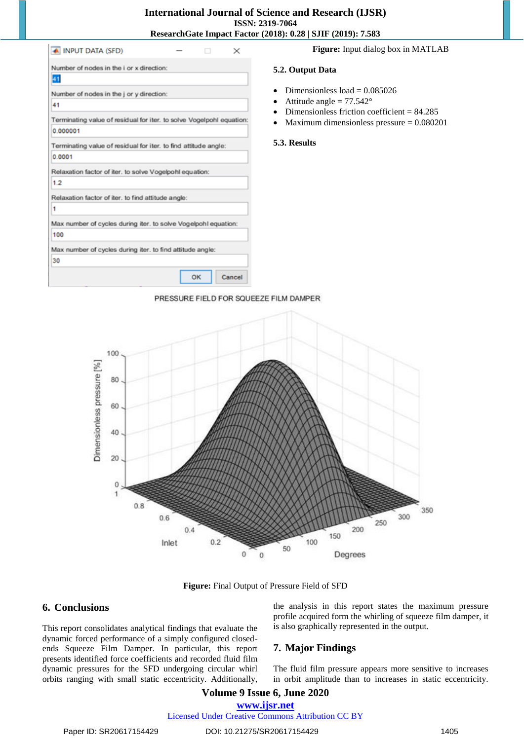| <b>▲ INPUT DATA (SFD)</b>                                            |    |        |
|----------------------------------------------------------------------|----|--------|
| Number of nodes in the i or x direction:                             |    |        |
| 41                                                                   |    |        |
| Number of nodes in the j or y direction:                             |    |        |
| 41                                                                   |    |        |
| Terminating value of residual for iter, to solve Vogelpohl equation: |    |        |
| 0.000001                                                             |    |        |
| Terminating value of residual for iter. to find attitude angle:      |    |        |
| 0.0001                                                               |    |        |
| Relaxation factor of iter, to solve Vogelpohl equation:              |    |        |
| 1.2                                                                  |    |        |
| Relaxation factor of iter. to find attitude angle:                   |    |        |
| 1                                                                    |    |        |
| Max number of cycles during iter. to solve Vogelpohl equation:       |    |        |
| 100                                                                  |    |        |
| Max number of cycles during iter, to find attitude angle:            |    |        |
| 30                                                                   |    |        |
|                                                                      | ок | Cancel |

 $\mathbf{L}$ 

**Figure:** Input dialog box in MATLAB

#### **5.2. Output Data**

- Dimensionless  $load = 0.085026$
- Attitude angle  $= 77.542$ °
- Dimensionless friction coefficient = 84.285
- Maximum dimensionless pressure = 0.080201

#### **5.3. Results**





**Figure:** Final Output of Pressure Field of SFD

## **6. Conclusions**

This report consolidates analytical findings that evaluate the dynamic forced performance of a simply configured closedends Squeeze Film Damper. In particular, this report presents identified force coefficients and recorded fluid film dynamic pressures for the SFD undergoing circular whirl orbits ranging with small static eccentricity. Additionally, the analysis in this report states the maximum pressure profile acquired form the whirling of squeeze film damper, it is also graphically represented in the output.

## **7. Major Findings**

The fluid film pressure appears more sensitive to increases in orbit amplitude than to increases in static eccentricity.

# **Volume 9 Issue 6, June 2020 www.ijsr.net**